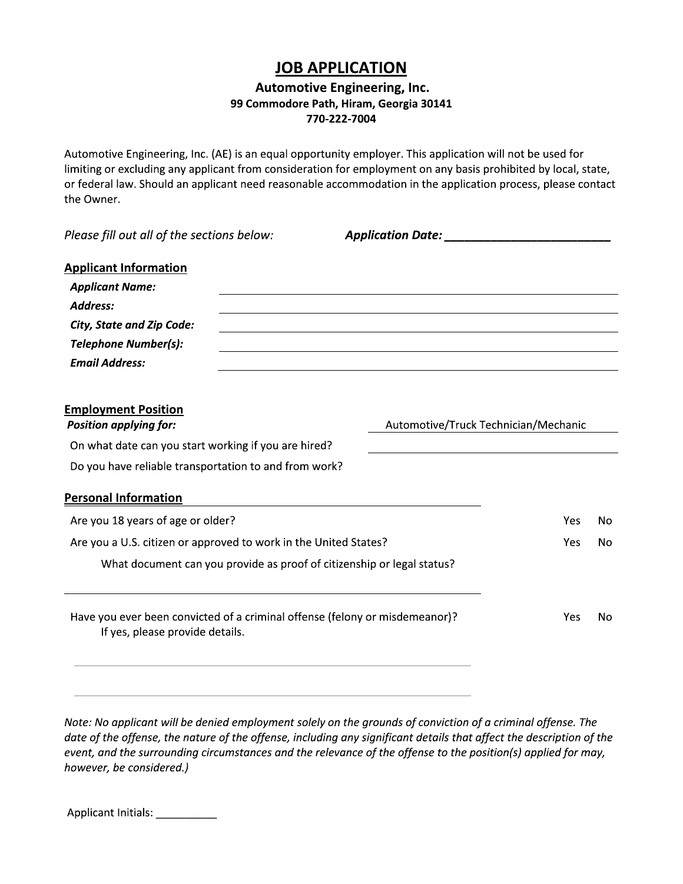# **JOB APPLICATION**

## **Automotive Engineering, Inc.** 99 Commodore Path, Hiram, Georgia 30141 770-222-7004

Automotive Engineering, Inc. (AE) is an equal opportunity employer. This application will not be used for limiting or excluding any applicant from consideration for employment on any basis prohibited by local, state, or federal law. Should an applicant need reasonable accommodation in the application process, please contact the Owner.

Please fill out all of the sections below:

| <b>Applicant Information</b><br><b>Applicant Name:</b><br>Address:<br><b>City, State and Zip Code:</b><br><b>Telephone Number(s):</b><br><b>Email Address:</b> |                                      |      |    |
|----------------------------------------------------------------------------------------------------------------------------------------------------------------|--------------------------------------|------|----|
| <b>Employment Position</b><br><b>Position applying for:</b>                                                                                                    | Automotive/Truck Technician/Mechanic |      |    |
| On what date can you start working if you are hired?                                                                                                           |                                      |      |    |
| Do you have reliable transportation to and from work?                                                                                                          |                                      |      |    |
| <b>Personal Information</b>                                                                                                                                    |                                      |      |    |
| Are you 18 years of age or older?                                                                                                                              | <b>Yes</b>                           | No.  |    |
| Are you a U.S. citizen or approved to work in the United States?                                                                                               |                                      | Yes. | No |
| What document can you provide as proof of citizenship or legal status?                                                                                         |                                      |      |    |
| Have you ever been convicted of a criminal offense (felony or misdemeanor)?<br>If yes, please provide details.                                                 |                                      | Yes  | No |
|                                                                                                                                                                |                                      |      |    |

Note: No applicant will be denied employment solely on the grounds of conviction of a criminal offense. The date of the offense, the nature of the offense, including any significant details that affect the description of the event, and the surrounding circumstances and the relevance of the offense to the position(s) applied for may, however, be considered.)

Applicant Initials: \_\_\_\_\_\_\_\_\_\_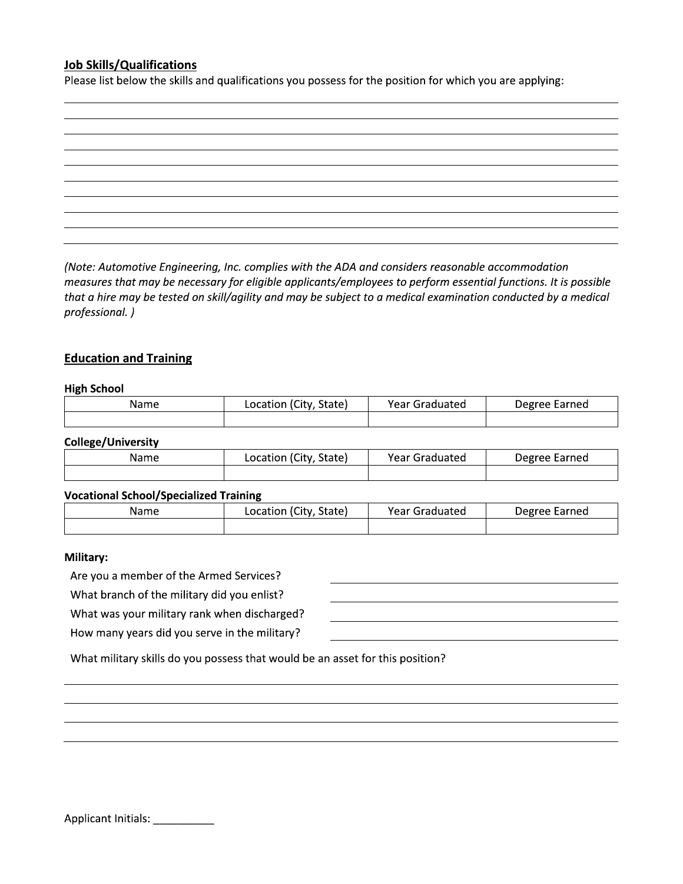### **Job Skills/Qualifications**

Please list below the skills and qualifications you possess for the position for which you are applying:

(Note: Automotive Engineering, Inc. complies with the ADA and considers reasonable accommodation measures that may be necessary for eligible applicants/employees to perform essential functions. It is possible that a hire may be tested on skill/agility and may be subject to a medical examination conducted by a medical professional.)

#### **Education and Training**

#### **High School**

| Name | Location (City, State) | Year Graduated | Degree Earned |
|------|------------------------|----------------|---------------|
|      |                        |                |               |

#### **College/University**

| Name | . (City<br>State)<br>Location | Year Graduated | Degree Earned |
|------|-------------------------------|----------------|---------------|
|      |                               |                |               |

#### **Vocational School/Specialized Training**

| Name | Location (City, State) | Year C<br>∙ Graduated | Degree Earned |
|------|------------------------|-----------------------|---------------|
|      |                        |                       |               |

#### Military:

Are you a member of the Armed Services?

What branch of the military did you enlist?

What was your military rank when discharged?

How many years did you serve in the military?

| ,我们也不会有什么?""我们的人,我们也不会有什么?""我们的人,我们也不会有什么?""我们的人,我们也不会有什么?""我们的人,我们也不会有什么?""我们的人 |  |  |
|----------------------------------------------------------------------------------|--|--|
|                                                                                  |  |  |
|                                                                                  |  |  |
|                                                                                  |  |  |
| ,我们的人们就会在这里,我们的人们就会在这里,我们的人们就会在这里,我们的人们就会在这里,我们的人们就会在这里,我们的人们就会在这里,我们的人们就会在这里,我们 |  |  |
|                                                                                  |  |  |
|                                                                                  |  |  |
|                                                                                  |  |  |
|                                                                                  |  |  |

What military skills do you possess that would be an asset for this position?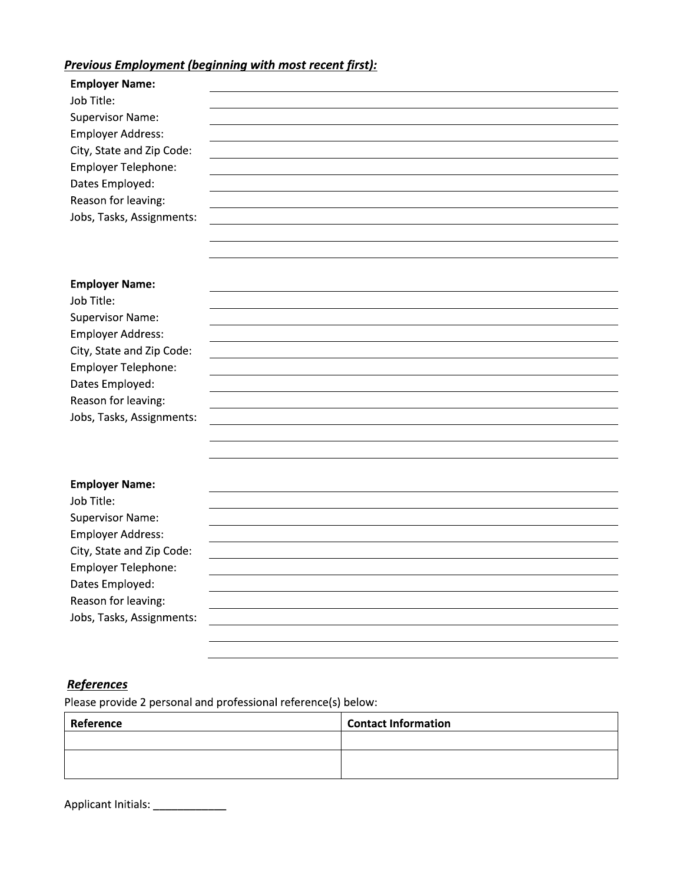# Previous Employment (beainning with most recent first):

| <b>Employer Name:</b>                                          |                            |
|----------------------------------------------------------------|----------------------------|
| Job Title:                                                     |                            |
| <b>Supervisor Name:</b>                                        |                            |
| <b>Employer Address:</b><br>City, State and Zip Code:          |                            |
| Employer Telephone:                                            |                            |
| Dates Employed:                                                |                            |
| Reason for leaving:                                            |                            |
| Jobs, Tasks, Assignments:                                      |                            |
|                                                                |                            |
|                                                                |                            |
|                                                                |                            |
| <b>Employer Name:</b>                                          |                            |
| Job Title:                                                     |                            |
| <b>Supervisor Name:</b><br><b>Employer Address:</b>            |                            |
| City, State and Zip Code:                                      |                            |
| Employer Telephone:                                            |                            |
| Dates Employed:                                                |                            |
| Reason for leaving:                                            |                            |
| Jobs, Tasks, Assignments:                                      |                            |
|                                                                |                            |
|                                                                |                            |
|                                                                |                            |
| <b>Employer Name:</b>                                          |                            |
| Job Title:<br><b>Supervisor Name:</b>                          |                            |
| <b>Employer Address:</b>                                       |                            |
| City, State and Zip Code:                                      |                            |
| Employer Telephone:                                            |                            |
| Dates Employed:                                                |                            |
| Reason for leaving:                                            |                            |
| Jobs, Tasks, Assignments:                                      |                            |
|                                                                |                            |
|                                                                |                            |
|                                                                |                            |
| <b>References</b>                                              |                            |
| Please provide 2 personal and professional reference(s) below: |                            |
| Reference                                                      | <b>Contact Information</b> |

# **References**

| Dates Employed:                                                |                            |  |
|----------------------------------------------------------------|----------------------------|--|
| Reason for leaving:                                            |                            |  |
| Jobs, Tasks, Assignments:                                      |                            |  |
|                                                                |                            |  |
|                                                                |                            |  |
|                                                                |                            |  |
|                                                                |                            |  |
|                                                                |                            |  |
| <b>References</b>                                              |                            |  |
| Please provide 2 personal and professional reference(s) below: |                            |  |
| Reference                                                      | <b>Contact Information</b> |  |
|                                                                |                            |  |
|                                                                |                            |  |
|                                                                |                            |  |